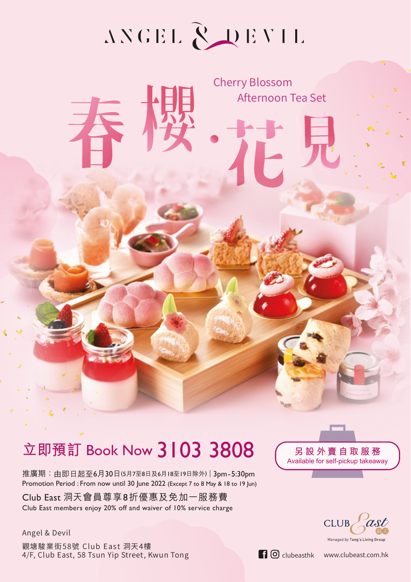# ANGEL RUEVIL

Cherry Blossom

Afternoon Tea Set

# 立即預訂 Book Now 3103 3808 <del>5設外賣自取服務</del>

推廣期:由即日起至6月30日(5月7至8日及6月18至19日除外) | 3pm-5:30pm Promotion Period : From now until 30 June 2022 (Except 7 to 8 May & 18 to 19 Jun)

Club East 洞天會員尊享8折優惠及免加一服務費 Club East members enjoy 20% off and waiver of 10% service charge

Angel & Devil 觀塘駿業街58號 Club East 洞天4樓  $4/F$ , Club East, 58 Tsun Yip Street, Kwun Tong clubeasthk www.clubeast.com.hk

**Available for self-pickup takeaway**